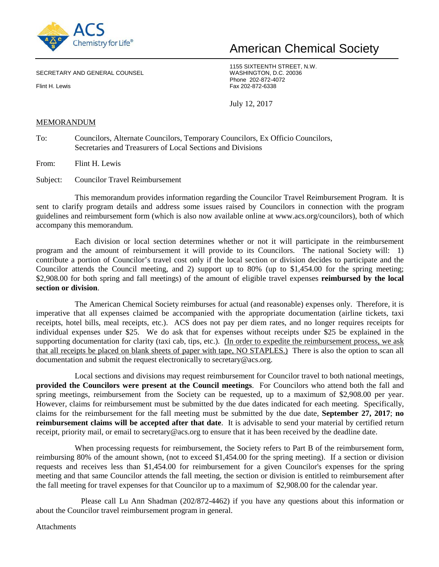

## American Chemical Society

SECRETARY AND GENERAL COUNSEL

1155 SIXTEENTH STREET, N.W. Phone 202-872-4072 Flint H. Lewis Fax 202-872-6338

July 12, 2017

## MEMORANDUM

- To: Councilors, Alternate Councilors, Temporary Councilors, Ex Officio Councilors, Secretaries and Treasurers of Local Sections and Divisions
- From: Flint H. Lewis

Subject: Councilor Travel Reimbursement

This memorandum provides information regarding the Councilor Travel Reimbursement Program. It is sent to clarify program details and address some issues raised by Councilors in connection with the program guidelines and reimbursement form (which is also now available online at www.acs.org/councilors), both of which accompany this memorandum.

Each division or local section determines whether or not it will participate in the reimbursement program and the amount of reimbursement it will provide to its Councilors. The national Society will: 1) contribute a portion of Councilor's travel cost only if the local section or division decides to participate and the Councilor attends the Council meeting, and 2) support up to 80% (up to \$1,454.00 for the spring meeting; \$2,908.00 for both spring and fall meetings) of the amount of eligible travel expenses **reimbursed by the local section or division**.

The American Chemical Society reimburses for actual (and reasonable) expenses only. Therefore, it is imperative that all expenses claimed be accompanied with the appropriate documentation (airline tickets, taxi receipts, hotel bills, meal receipts, etc.). ACS does not pay per diem rates, and no longer requires receipts for individual expenses under \$25. We do ask that for expenses without receipts under \$25 be explained in the supporting documentation for clarity (taxi cab, tips, etc.). (In order to expedite the reimbursement process, we ask that all receipts be placed on blank sheets of paper with tape, NO STAPLES.) There is also the option to scan all documentation and submit the request electronically to secretary@acs.org.

Local sections and divisions may request reimbursement for Councilor travel to both national meetings, **provided the Councilors were present at the Council meetings**. For Councilors who attend both the fall and spring meetings, reimbursement from the Society can be requested, up to a maximum of \$2,908.00 per year. However, claims for reimbursement must be submitted by the due dates indicated for each meeting. Specifically, claims for the reimbursement for the fall meeting must be submitted by the due date, **September 27, 2017**; **no reimbursement claims will be accepted after that date**. It is advisable to send your material by certified return receipt, priority mail, or email to secretary@acs.org to ensure that it has been received by the deadline date.

When processing requests for reimbursement, the Society refers to Part B of the reimbursement form, reimbursing 80% of the amount shown, (not to exceed \$1,454.00 for the spring meeting). If a section or division requests and receives less than \$1,454.00 for reimbursement for a given Councilor's expenses for the spring meeting and that same Councilor attends the fall meeting, the section or division is entitled to reimbursement after the fall meeting for travel expenses for that Councilor up to a maximum of \$2,908.00 for the calendar year.

Please call Lu Ann Shadman (202/872-4462) if you have any questions about this information or about the Councilor travel reimbursement program in general.

Attachments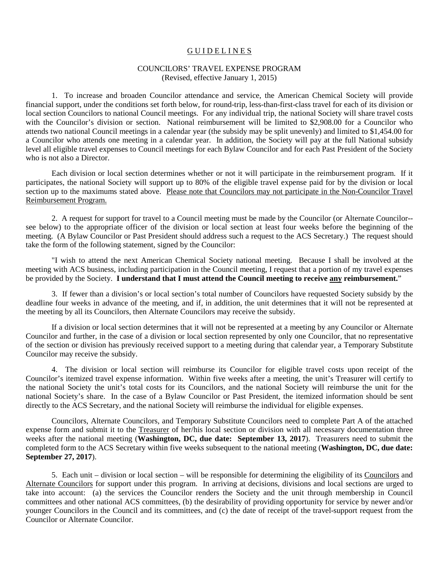## G U I D E L I N E S

## COUNCILORS' TRAVEL EXPENSE PROGRAM (Revised, effective January 1, 2015)

1. To increase and broaden Councilor attendance and service, the American Chemical Society will provide financial support, under the conditions set forth below, for round-trip, less-than-first-class travel for each of its division or local section Councilors to national Council meetings. For any individual trip, the national Society will share travel costs with the Councilor's division or section. National reimbursement will be limited to \$2,908.00 for a Councilor who attends two national Council meetings in a calendar year (the subsidy may be split unevenly) and limited to \$1,454.00 for a Councilor who attends one meeting in a calendar year. In addition, the Society will pay at the full National subsidy level all eligible travel expenses to Council meetings for each Bylaw Councilor and for each Past President of the Society who is not also a Director.

Each division or local section determines whether or not it will participate in the reimbursement program. If it participates, the national Society will support up to 80% of the eligible travel expense paid for by the division or local section up to the maximums stated above. Please note that Councilors may not participate in the Non-Councilor Travel Reimbursement Program.

2. A request for support for travel to a Council meeting must be made by the Councilor (or Alternate Councilor- see below) to the appropriate officer of the division or local section at least four weeks before the beginning of the meeting. (A Bylaw Councilor or Past President should address such a request to the ACS Secretary.) The request should take the form of the following statement, signed by the Councilor:

"I wish to attend the next American Chemical Society national meeting. Because I shall be involved at the meeting with ACS business, including participation in the Council meeting, I request that a portion of my travel expenses be provided by the Society. **I understand that I must attend the Council meeting to receive any reimbursement.**"

3. If fewer than a division's or local section's total number of Councilors have requested Society subsidy by the deadline four weeks in advance of the meeting, and if, in addition, the unit determines that it will not be represented at the meeting by all its Councilors, then Alternate Councilors may receive the subsidy.

If a division or local section determines that it will not be represented at a meeting by any Councilor or Alternate Councilor and further, in the case of a division or local section represented by only one Councilor, that no representative of the section or division has previously received support to a meeting during that calendar year, a Temporary Substitute Councilor may receive the subsidy.

4. The division or local section will reimburse its Councilor for eligible travel costs upon receipt of the Councilor's itemized travel expense information. Within five weeks after a meeting, the unit's Treasurer will certify to the national Society the unit's total costs for its Councilors, and the national Society will reimburse the unit for the national Society's share. In the case of a Bylaw Councilor or Past President, the itemized information should be sent directly to the ACS Secretary, and the national Society will reimburse the individual for eligible expenses.

Councilors, Alternate Councilors, and Temporary Substitute Councilors need to complete Part A of the attached expense form and submit it to the Treasurer of her/his local section or division with all necessary documentation three weeks after the national meeting (**Washington, DC, due date: September 13, 2017**). Treasurers need to submit the completed form to the ACS Secretary within five weeks subsequent to the national meeting (**Washington, DC, due date: September 27, 2017**).

5. Each unit – division or local section – will be responsible for determining the eligibility of its Councilors and Alternate Councilors for support under this program. In arriving at decisions, divisions and local sections are urged to take into account: (a) the services the Councilor renders the Society and the unit through membership in Council committees and other national ACS committees, (b) the desirability of providing opportunity for service by newer and/or younger Councilors in the Council and its committees, and (c) the date of receipt of the travel-support request from the Councilor or Alternate Councilor.